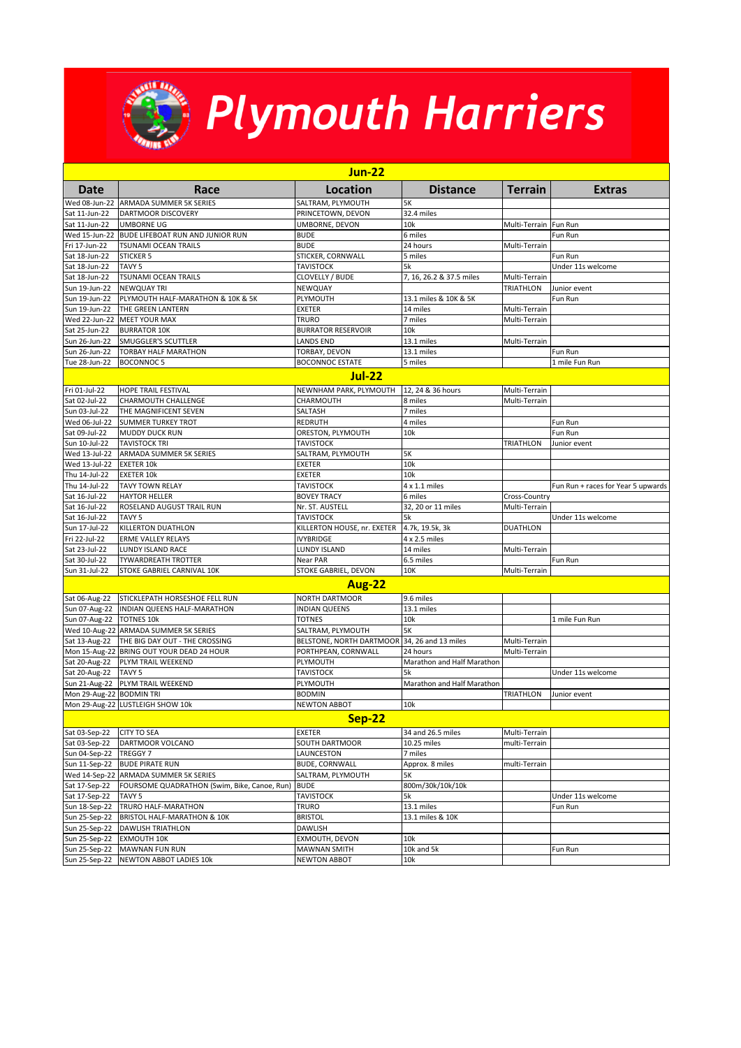

## Plymouth Harriers

| <b>Jun-22</b>                  |                                                   |                                              |                            |                                |                                    |  |  |  |  |
|--------------------------------|---------------------------------------------------|----------------------------------------------|----------------------------|--------------------------------|------------------------------------|--|--|--|--|
| <b>Date</b>                    | Race                                              | Location                                     | <b>Distance</b>            | <b>Terrain</b>                 | <b>Extras</b>                      |  |  |  |  |
| Wed 08-Jun-22                  | ARMADA SUMMER 5K SERIES                           | SALTRAM, PLYMOUTH                            | 5K                         |                                |                                    |  |  |  |  |
| Sat 11-Jun-22                  | <b>DARTMOOR DISCOVERY</b>                         | PRINCETOWN, DEVON                            | 32.4 miles                 |                                |                                    |  |  |  |  |
| Sat 11-Jun-22                  | <b>UMBORNE UG</b>                                 | UMBORNE, DEVON                               | 10k                        | Multi-Terrain Fun Run          |                                    |  |  |  |  |
|                                | Wed 15-Jun-22 BUDE LIFEBOAT RUN AND JUNIOR RUN    | <b>BUDE</b>                                  | 6 miles                    |                                | Fun Run                            |  |  |  |  |
| Fri 17-Jun-22                  | TSUNAMI OCEAN TRAILS                              | <b>BUDE</b>                                  | 24 hours                   | Multi-Terrain                  |                                    |  |  |  |  |
| Sat 18-Jun-22                  | <b>STICKER 5</b>                                  | STICKER, CORNWALL                            | 5 miles                    |                                | Fun Run                            |  |  |  |  |
| Sat 18-Jun-22                  | TAVY <sub>5</sub>                                 | <b>TAVISTOCK</b>                             | 5k                         |                                | Under 11s welcome                  |  |  |  |  |
| Sat 18-Jun-22                  | TSUNAMI OCEAN TRAILS                              | CLOVELLY / BUDE                              | 7, 16, 26.2 & 37.5 miles   | Multi-Terrain                  |                                    |  |  |  |  |
| Sun 19-Jun-22                  | <b>NEWQUAY TRI</b>                                | NEWQUAY                                      |                            | TRIATHLON                      | Junior event                       |  |  |  |  |
| Sun 19-Jun-22                  | PLYMOUTH HALF-MARATHON & 10K & 5K                 | PLYMOUTH                                     | 13.1 miles & 10K & 5K      | Multi-Terrain                  | Fun Run                            |  |  |  |  |
| Sun 19-Jun-22<br>Wed 22-Jun-22 | THE GREEN LANTERN<br><b>MEET YOUR MAX</b>         | <b>EXETER</b><br><b>TRURO</b>                | 14 miles<br>7 miles        | Multi-Terrain                  |                                    |  |  |  |  |
| Sat 25-Jun-22                  | <b>BURRATOR 10K</b>                               | <b>BURRATOR RESERVOIR</b>                    | 10k                        |                                |                                    |  |  |  |  |
| Sun 26-Jun-22                  | SMUGGLER'S SCUTTLER                               | <b>LANDS END</b>                             | 13.1 miles                 | Multi-Terrain                  |                                    |  |  |  |  |
| Sun 26-Jun-22                  | TORBAY HALF MARATHON                              | TORBAY, DEVON                                | 13.1 miles                 |                                | Fun Run                            |  |  |  |  |
| Tue 28-Jun-22                  | <b>BOCONNOC 5</b>                                 | <b>BOCONNOC ESTATE</b>                       | 5 miles                    |                                | 1 mile Fun Run                     |  |  |  |  |
|                                |                                                   |                                              |                            |                                |                                    |  |  |  |  |
|                                |                                                   | <b>Jul-22</b>                                |                            |                                |                                    |  |  |  |  |
| Fri 01-Jul-22                  | <b>HOPE TRAIL FESTIVAL</b>                        | NEWNHAM PARK, PLYMOUTH                       | 12, 24 & 36 hours          | Multi-Terrain                  |                                    |  |  |  |  |
| Sat 02-Jul-22                  | CHARMOUTH CHALLENGE                               | CHARMOUTH                                    | 8 miles                    | Multi-Terrain                  |                                    |  |  |  |  |
| Sun 03-Jul-22                  | THE MAGNIFICENT SEVEN                             | SALTASH                                      | 7 miles                    |                                |                                    |  |  |  |  |
| Wed 06-Jul-22                  | <b>SUMMER TURKEY TROT</b>                         | REDRUTH                                      | 4 miles                    |                                | Fun Run                            |  |  |  |  |
| Sat 09-Jul-22                  | <b>MUDDY DUCK RUN</b>                             | ORESTON, PLYMOUTH                            | 10k                        |                                | Fun Run                            |  |  |  |  |
| Sun 10-Jul-22                  | <b>TAVISTOCK TRI</b>                              | <b>TAVISTOCK</b>                             |                            | TRIATHLON                      | Junior event                       |  |  |  |  |
| Wed 13-Jul-22                  | ARMADA SUMMER 5K SERIES                           | SALTRAM, PLYMOUTH                            | 5K                         |                                |                                    |  |  |  |  |
| Wed 13-Jul-22                  | <b>EXETER 10k</b>                                 | <b>EXETER</b>                                | 10k                        |                                |                                    |  |  |  |  |
| Thu 14-Jul-22<br>Thu 14-Jul-22 | <b>EXETER 10k</b>                                 | <b>EXETER</b>                                | 10k                        |                                |                                    |  |  |  |  |
|                                | <b>TAVY TOWN RELAY</b>                            | <b>TAVISTOCK</b>                             | 4 x 1.1 miles<br>6 miles   |                                | Fun Run + races for Year 5 upwards |  |  |  |  |
| Sat 16-Jul-22                  | <b>HAYTOR HELLER</b><br>ROSELAND AUGUST TRAIL RUN | <b>BOVEY TRACY</b>                           |                            | Cross-Country<br>Multi-Terrain |                                    |  |  |  |  |
| Sat 16-Jul-22<br>Sat 16-Jul-22 | TAVY <sub>5</sub>                                 | Nr. ST. AUSTELL<br><b>TAVISTOCK</b>          | 32, 20 or 11 miles<br>5k   |                                | Under 11s welcome                  |  |  |  |  |
| Sun 17-Jul-22                  | <b>KILLERTON DUATHLON</b>                         | KILLERTON HOUSE, nr. EXETER                  | 4.7k, 19.5k, 3k            | <b>DUATHLON</b>                |                                    |  |  |  |  |
| Fri 22-Jul-22                  | <b>ERME VALLEY RELAYS</b>                         | <b>IVYBRIDGE</b>                             | 4 x 2.5 miles              |                                |                                    |  |  |  |  |
| Sat 23-Jul-22                  | <b>LUNDY ISLAND RACE</b>                          | LUNDY ISLAND                                 | 14 miles                   | Multi-Terrain                  |                                    |  |  |  |  |
| Sat 30-Jul-22                  | TYWARDREATH TROTTER                               | Near PAR                                     | 6.5 miles                  |                                | Fun Run                            |  |  |  |  |
| Sun 31-Jul-22                  | STOKE GABRIEL CARNIVAL 10K                        | STOKE GABRIEL, DEVON                         | 10K                        | Multi-Terrain                  |                                    |  |  |  |  |
|                                |                                                   | <b>Aug-22</b>                                |                            |                                |                                    |  |  |  |  |
| Sat 06-Aug-22                  | STICKLEPATH HORSESHOE FELL RUN                    | NORTH DARTMOOR                               | 9.6 miles                  |                                |                                    |  |  |  |  |
| Sun 07-Aug-22                  | INDIAN QUEENS HALF-MARATHON                       | <b>INDIAN QUEENS</b>                         | 13.1 miles                 |                                |                                    |  |  |  |  |
| Sun 07-Aug-22                  | <b>TOTNES 10k</b>                                 | <b>TOTNES</b>                                | 10k                        |                                | 1 mile Fun Run                     |  |  |  |  |
|                                | Wed 10-Aug-22 ARMADA SUMMER 5K SERIES             | SALTRAM, PLYMOUTH                            | 5K                         |                                |                                    |  |  |  |  |
| Sat 13-Aug-22                  | THE BIG DAY OUT - THE CROSSING                    | BELSTONE, NORTH DARTMOOR 34, 26 and 13 miles |                            | Multi-Terrain                  |                                    |  |  |  |  |
|                                | Mon 15-Aug-22 BRING OUT YOUR DEAD 24 HOUR         | PORTHPEAN, CORNWALL                          | 24 hours                   | Multi-Terrain                  |                                    |  |  |  |  |
| Sat 20-Aug-22                  | PLYM TRAIL WEEKEND                                | PLYMOUTH                                     | Marathon and Half Marathon |                                |                                    |  |  |  |  |
| Sat 20-Aug-22                  | <b>TAVY 5</b>                                     | <b>TAVISTOCK</b>                             | 5k                         |                                | Under 11s welcome                  |  |  |  |  |
|                                | Sun 21-Aug-22 PLYM TRAIL WEEKEND                  | PLYMOUTH                                     | Marathon and Half Marathon |                                |                                    |  |  |  |  |
| Mon 29-Aug-22 BODMIN TRI       |                                                   | <b>BODMIN</b>                                |                            | TRIATHLON                      | Junior event                       |  |  |  |  |
|                                | Mon 29-Aug-22 LUSTLEIGH SHOW 10k                  | <b>NEWTON ABBOT</b>                          | 10k                        |                                |                                    |  |  |  |  |
| <b>Sep-22</b>                  |                                                   |                                              |                            |                                |                                    |  |  |  |  |
| Sat 03-Sep-22                  | <b>CITY TO SEA</b>                                | <b>EXETER</b>                                | 34 and 26.5 miles          | Multi-Terrain                  |                                    |  |  |  |  |
| Sat 03-Sep-22                  | DARTMOOR VOLCANO                                  | SOUTH DARTMOOR                               | 10.25 miles                | multi-Terrain                  |                                    |  |  |  |  |
| Sun 04-Sep-22                  | <b>TREGGY 7</b>                                   | LAUNCESTON                                   | 7 miles                    |                                |                                    |  |  |  |  |
| Sun 11-Sep-22                  | <b>BUDE PIRATE RUN</b>                            | <b>BUDE, CORNWALL</b>                        | Approx. 8 miles            | multi-Terrain                  |                                    |  |  |  |  |
| Wed 14-Sep-22                  | ARMADA SUMMER 5K SERIES                           | SALTRAM, PLYMOUTH                            | 5K                         |                                |                                    |  |  |  |  |
| Sat 17-Sep-22                  | FOURSOME QUADRATHON (Swim, Bike, Canoe, Run)      | <b>BUDE</b>                                  | 800m/30k/10k/10k           |                                |                                    |  |  |  |  |
| Sat 17-Sep-22                  | TAVY <sub>5</sub>                                 | <b>TAVISTOCK</b>                             | 5k                         |                                | Under 11s welcome                  |  |  |  |  |
| Sun 18-Sep-22                  | TRURO HALF-MARATHON                               | <b>TRURO</b>                                 | 13.1 miles                 |                                | Fun Run                            |  |  |  |  |
| Sun 25-Sep-22                  | BRISTOL HALF-MARATHON & 10K                       | <b>BRISTOL</b>                               | 13.1 miles & 10K           |                                |                                    |  |  |  |  |
| Sun 25-Sep-22                  | <b>DAWLISH TRIATHLON</b>                          | DAWLISH                                      |                            |                                |                                    |  |  |  |  |
| Sun 25-Sep-22                  | EXMOUTH 10K                                       | EXMOUTH, DEVON                               | 10k                        |                                |                                    |  |  |  |  |
| Sun 25-Sep-22                  | <b>MAWNAN FUN RUN</b>                             | MAWNAN SMITH                                 | 10k and 5k                 |                                | Fun Run                            |  |  |  |  |
| Sun 25-Sep-22                  | <b>NEWTON ABBOT LADIES 10k</b>                    | <b>NEWTON ABBOT</b>                          | 10k                        |                                |                                    |  |  |  |  |